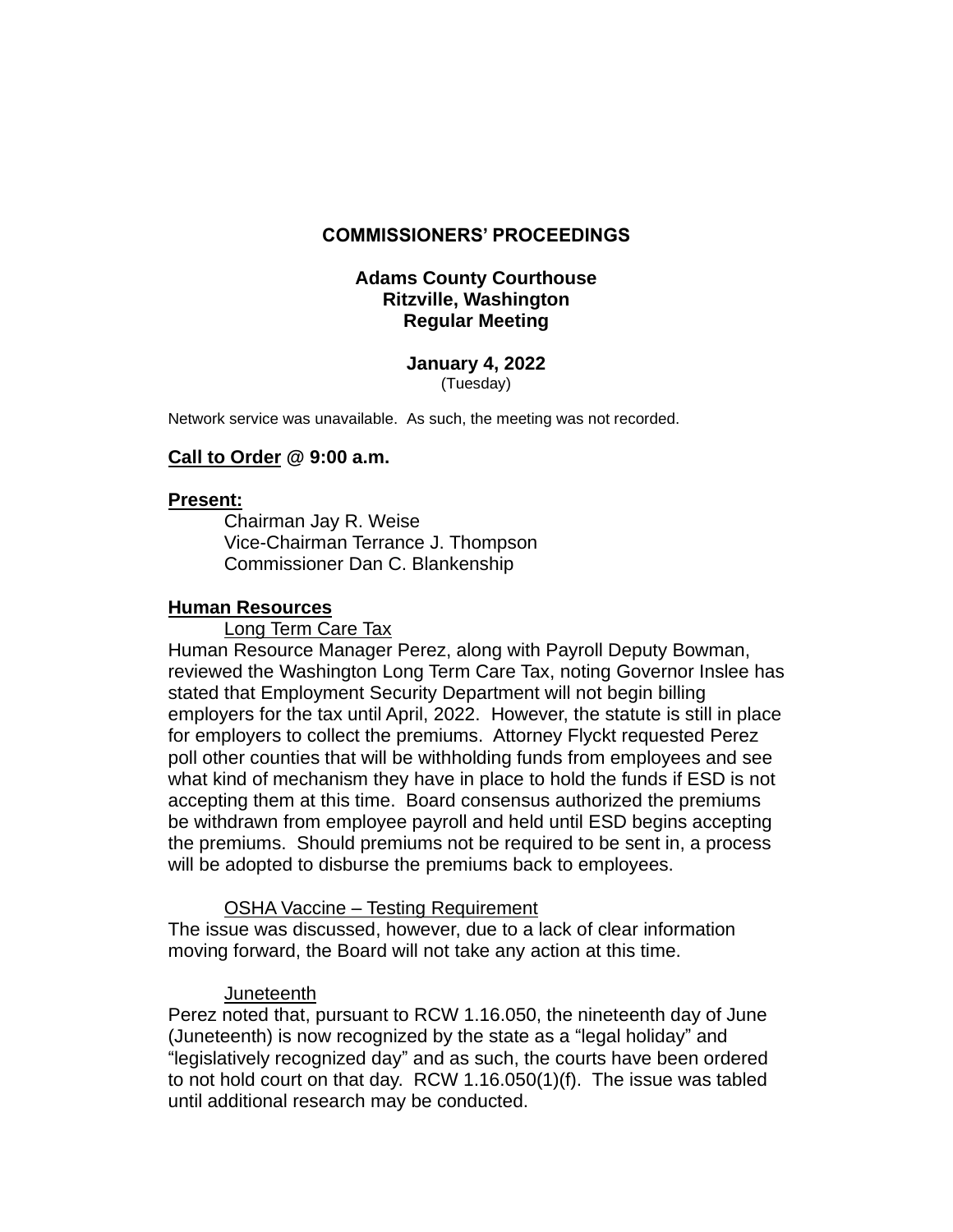## **COMMISSIONERS' PROCEEDINGS**

## **Adams County Courthouse Ritzville, Washington Regular Meeting**

#### **January 4, 2022** (Tuesday)

Network service was unavailable. As such, the meeting was not recorded.

## **Call to Order @ 9:00 a.m.**

### **Present:**

Chairman Jay R. Weise Vice-Chairman Terrance J. Thompson Commissioner Dan C. Blankenship

## **Human Resources**

Long Term Care Tax

Human Resource Manager Perez, along with Payroll Deputy Bowman, reviewed the Washington Long Term Care Tax, noting Governor Inslee has stated that Employment Security Department will not begin billing employers for the tax until April, 2022. However, the statute is still in place for employers to collect the premiums. Attorney Flyckt requested Perez poll other counties that will be withholding funds from employees and see what kind of mechanism they have in place to hold the funds if ESD is not accepting them at this time. Board consensus authorized the premiums be withdrawn from employee payroll and held until ESD begins accepting the premiums. Should premiums not be required to be sent in, a process will be adopted to disburse the premiums back to employees.

OSHA Vaccine – Testing Requirement

The issue was discussed, however, due to a lack of clear information moving forward, the Board will not take any action at this time.

### Juneteenth

Perez noted that, pursuant to RCW 1.16.050, the nineteenth day of June (Juneteenth) is now recognized by the state as a "legal holiday" and "legislatively recognized day" and as such, the courts have been ordered to not hold court on that day. RCW 1.16.050(1)(f). The issue was tabled until additional research may be conducted.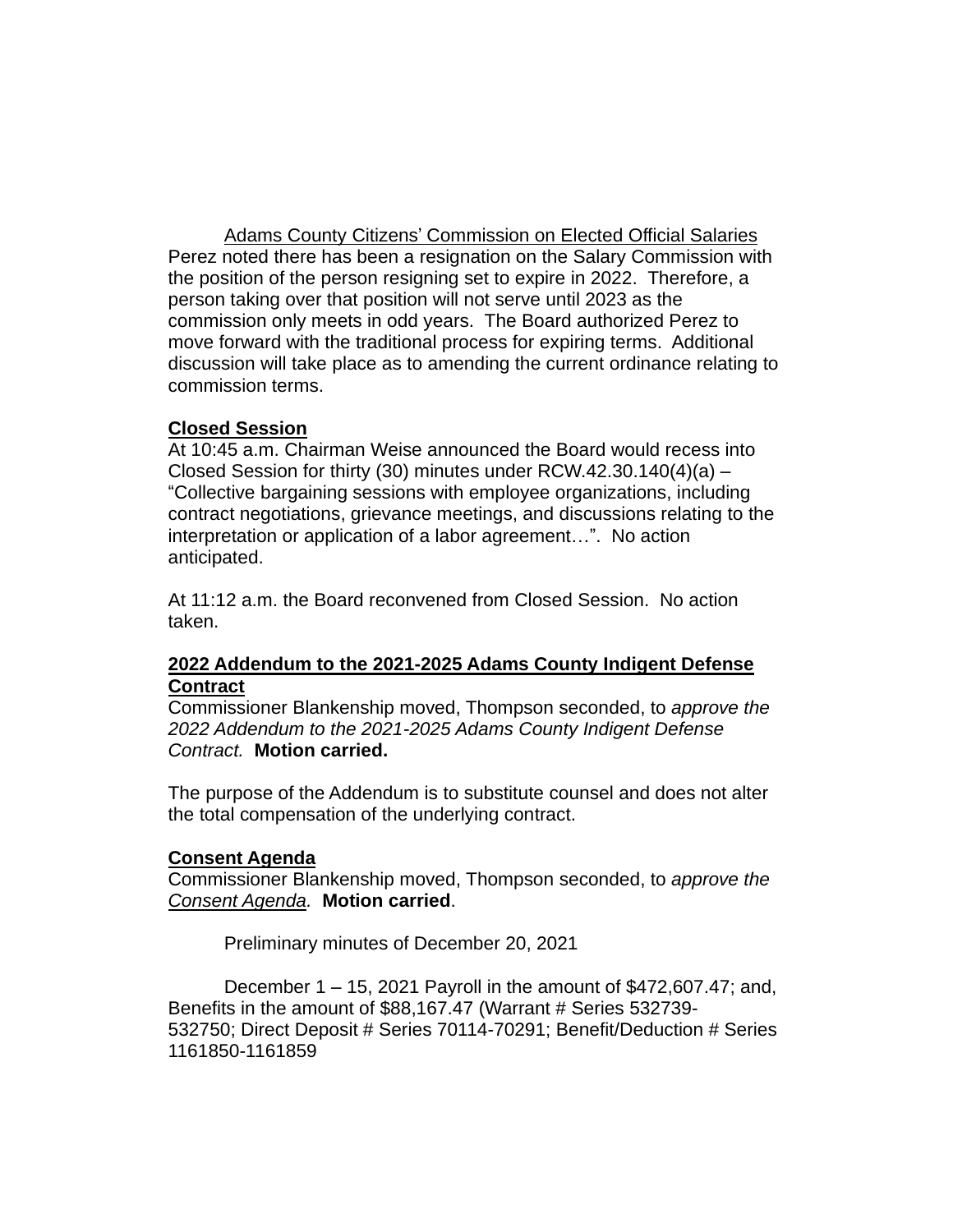Adams County Citizens' Commission on Elected Official Salaries Perez noted there has been a resignation on the Salary Commission with the position of the person resigning set to expire in 2022. Therefore, a person taking over that position will not serve until 2023 as the commission only meets in odd years. The Board authorized Perez to move forward with the traditional process for expiring terms. Additional discussion will take place as to amending the current ordinance relating to commission terms.

# **Closed Session**

At 10:45 a.m. Chairman Weise announced the Board would recess into Closed Session for thirty (30) minutes under RCW.42.30.140(4)(a) – "Collective bargaining sessions with employee organizations, including contract negotiations, grievance meetings, and discussions relating to the interpretation or application of a labor agreement…". No action anticipated.

At 11:12 a.m. the Board reconvened from Closed Session. No action taken.

# **2022 Addendum to the 2021-2025 Adams County Indigent Defense Contract**

Commissioner Blankenship moved, Thompson seconded, to *approve the 2022 Addendum to the 2021-2025 Adams County Indigent Defense Contract.* **Motion carried.** 

The purpose of the Addendum is to substitute counsel and does not alter the total compensation of the underlying contract.

### **Consent Agenda**

Commissioner Blankenship moved, Thompson seconded, to *approve the Consent Agenda.* **Motion carried**.

Preliminary minutes of December 20, 2021

December 1 – 15, 2021 Payroll in the amount of \$472,607.47; and, Benefits in the amount of \$88,167.47 (Warrant # Series 532739- 532750; Direct Deposit # Series 70114-70291; Benefit/Deduction # Series 1161850-1161859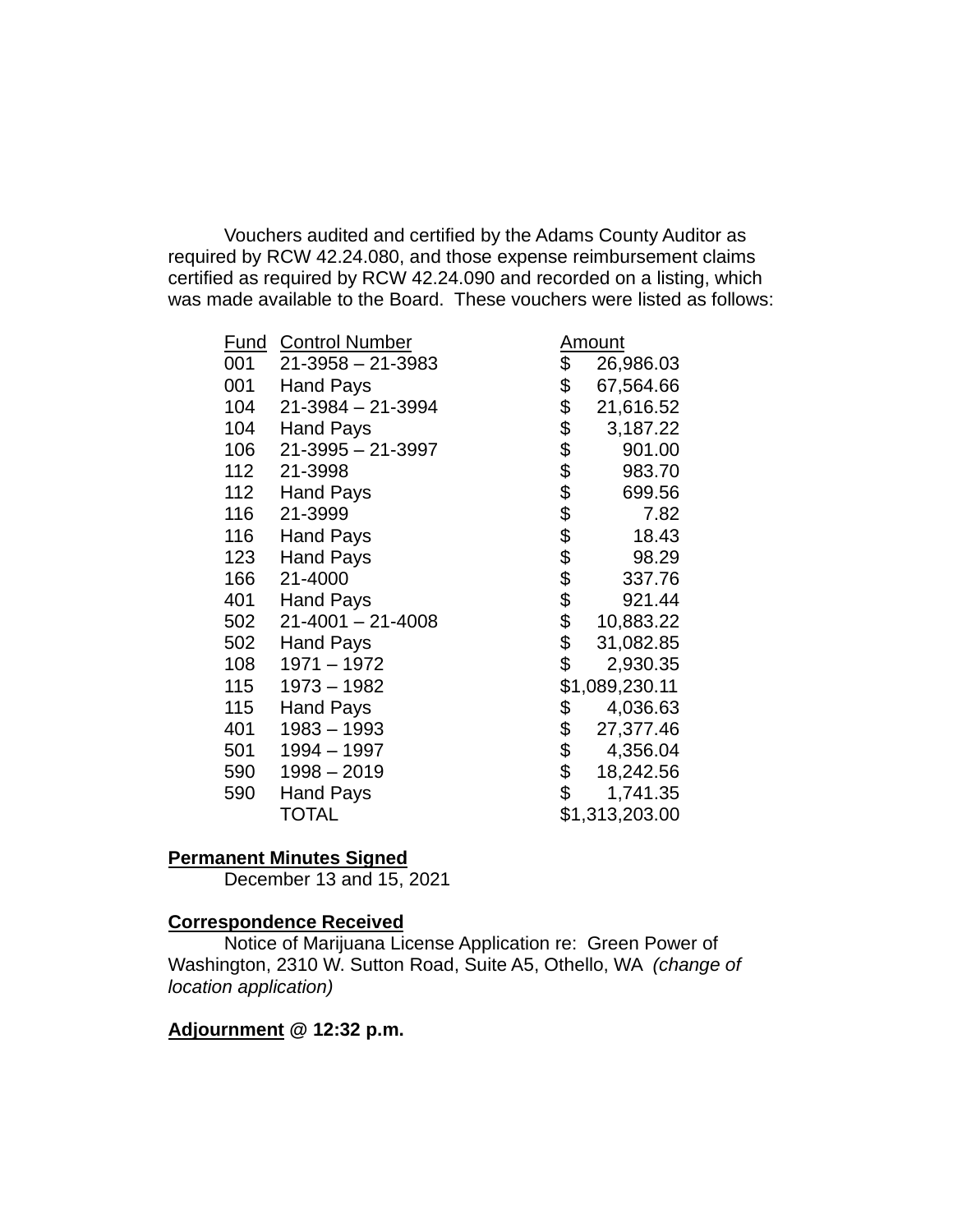Vouchers audited and certified by the Adams County Auditor as required by RCW 42.24.080, and those expense reimbursement claims certified as required by RCW 42.24.090 and recorded on a listing, which was made available to the Board. These vouchers were listed as follows:

| <u>Fund</u> | <b>Control Number</b>   | <u>Amount</u>          |                |
|-------------|-------------------------|------------------------|----------------|
| 001         | $21 - 3958 - 21 - 3983$ | \$                     | 26,986.03      |
| 001         | <b>Hand Pays</b>        | \$                     | 67,564.66      |
| 104         | $21 - 3984 - 21 - 3994$ |                        | 21,616.52      |
| 104         | <b>Hand Pays</b>        |                        | 3,187.22       |
| 106         | $21 - 3995 - 21 - 3997$ |                        | 901.00         |
| 112         | 21-3998                 |                        | 983.70         |
| 112         | <b>Hand Pays</b>        | \$\$\$\$\$\$\$\$\$\$\$ | 699.56         |
| 116         | 21-3999                 |                        | 7.82           |
| 116         | <b>Hand Pays</b>        |                        | 18.43          |
| 123         | <b>Hand Pays</b>        |                        | 98.29          |
| 166         | 21-4000                 |                        | 337.76         |
| 401         | <b>Hand Pays</b>        |                        | 921.44         |
| 502         | $21 - 4001 - 21 - 4008$ | \$                     | 10,883.22      |
| 502         | <b>Hand Pays</b>        | \$                     | 31,082.85      |
| 108         | 1971 - 1972             | \$                     | 2,930.35       |
| 115         | 1973 - 1982             |                        | \$1,089,230.11 |
| 115         | <b>Hand Pays</b>        | \$                     | 4,036.63       |
| 401         | $1983 - 1993$           | \$                     | 27,377.46      |
| 501         | 1994 - 1997             | \$                     | 4,356.04       |
| 590         | $1998 - 2019$           | $\frac{1}{2}$          | 18,242.56      |
| 590         | <b>Hand Pays</b>        | \$                     | 1,741.35       |
|             | <b>TOTAL</b>            |                        | \$1,313,203.00 |

# **Permanent Minutes Signed**

December 13 and 15, 2021

### **Correspondence Received**

Notice of Marijuana License Application re: Green Power of Washington, 2310 W. Sutton Road, Suite A5, Othello, WA *(change of location application)*

# **Adjournment @ 12:32 p.m.**